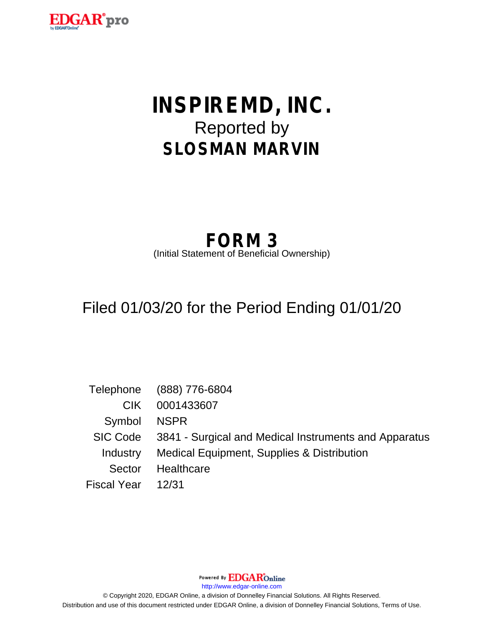

# **INSPIREMD, INC.** Reported by **SLOSMAN MARVIN**

# **FORM 3**

(Initial Statement of Beneficial Ownership)

## Filed 01/03/20 for the Period Ending 01/01/20

|                    | Telephone (888) 776-6804                                       |
|--------------------|----------------------------------------------------------------|
| CIK.               | 0001433607                                                     |
| Symbol             | NSPR                                                           |
|                    | SIC Code 3841 - Surgical and Medical Instruments and Apparatus |
| Industry           | Medical Equipment, Supplies & Distribution                     |
| Sector             | Healthcare                                                     |
| Fiscal Year  12/31 |                                                                |

Powered By **EDGAR**Online

http://www.edgar-online.com

© Copyright 2020, EDGAR Online, a division of Donnelley Financial Solutions. All Rights Reserved. Distribution and use of this document restricted under EDGAR Online, a division of Donnelley Financial Solutions, Terms of Use.